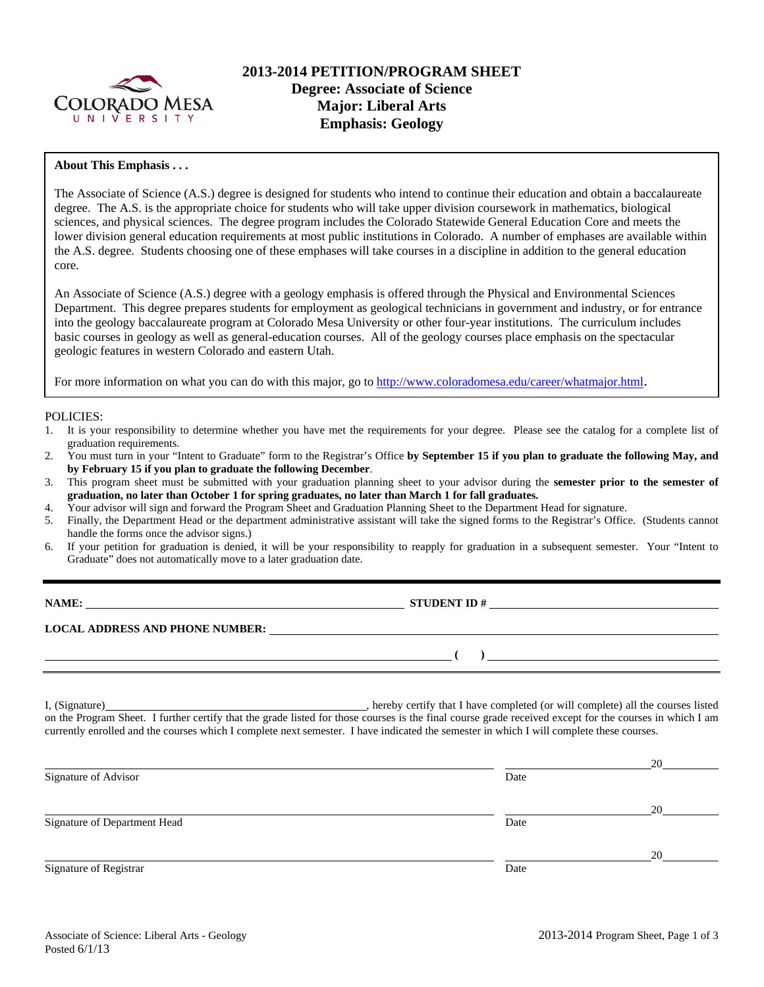

# **2013-2014 PETITION/PROGRAM SHEET Degree: Associate of Science Major: Liberal Arts Emphasis: Geology**

#### **About This Emphasis . . .**

The Associate of Science (A.S.) degree is designed for students who intend to continue their education and obtain a baccalaureate degree. The A.S. is the appropriate choice for students who will take upper division coursework in mathematics, biological sciences, and physical sciences. The degree program includes the Colorado Statewide General Education Core and meets the lower division general education requirements at most public institutions in Colorado. A number of emphases are available within the A.S. degree. Students choosing one of these emphases will take courses in a discipline in addition to the general education core.

An Associate of Science (A.S.) degree with a geology emphasis is offered through the Physical and Environmental Sciences Department. This degree prepares students for employment as geological technicians in government and industry, or for entrance into the geology baccalaureate program at Colorado Mesa University or other four-year institutions. The curriculum includes basic courses in geology as well as general-education courses. All of the geology courses place emphasis on the spectacular geologic features in western Colorado and eastern Utah.

For more information on what you can do with this major, go to http://www.coloradomesa.edu/career/whatmajor.html.

#### POLICIES:

- 1. It is your responsibility to determine whether you have met the requirements for your degree. Please see the catalog for a complete list of graduation requirements.
- 2. You must turn in your "Intent to Graduate" form to the Registrar's Office **by September 15 if you plan to graduate the following May, and by February 15 if you plan to graduate the following December**.
- 3. This program sheet must be submitted with your graduation planning sheet to your advisor during the **semester prior to the semester of graduation, no later than October 1 for spring graduates, no later than March 1 for fall graduates.**
- 4. Your advisor will sign and forward the Program Sheet and Graduation Planning Sheet to the Department Head for signature.
- 5. Finally, the Department Head or the department administrative assistant will take the signed forms to the Registrar's Office. (Students cannot handle the forms once the advisor signs.)
- 6. If your petition for graduation is denied, it will be your responsibility to reapply for graduation in a subsequent semester. Your "Intent to Graduate" does not automatically move to a later graduation date.

| <b>NAME:</b>                           | <b>STUDENT ID#</b> |
|----------------------------------------|--------------------|
| <b>LOCAL ADDRESS AND PHONE NUMBER:</b> |                    |
|                                        |                    |

I, (Signature) **Source 2008** (Signature) **, hereby certify that I have completed** (or will complete) all the courses listed on the Program Sheet. I further certify that the grade listed for those courses is the final course grade received except for the courses in which I am currently enrolled and the courses which I complete next semester. I have indicated the semester in which I will complete these courses.

|                              |      | 20 |
|------------------------------|------|----|
| Signature of Advisor         | Date |    |
|                              |      | 20 |
| Signature of Department Head | Date |    |
|                              |      | 20 |
| Signature of Registrar       | Date |    |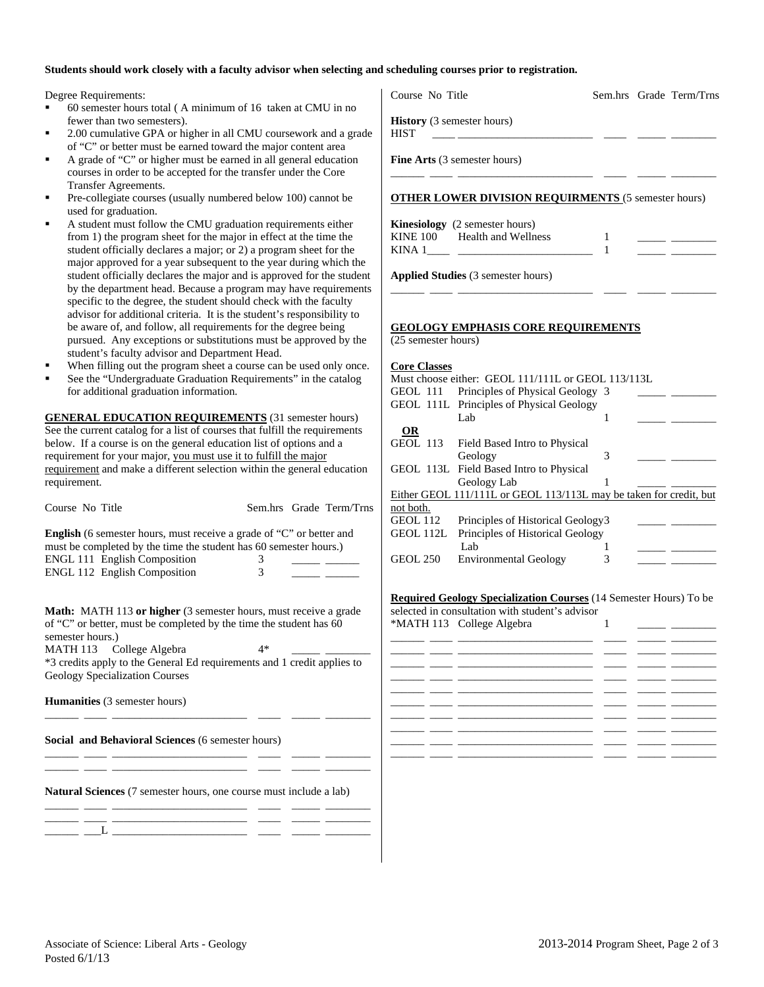### **Students should work closely with a faculty advisor when selecting and scheduling courses prior to registration.**

- <sup>■</sup> 60 semester hours total (A minimum of 16 taken at CMU in no fewer than two semesters).
- 2.00 cumulative GPA or higher in all CMU coursework and a gr of "C" or better must be earned toward the major content area
- A grade of "C" or higher must be earned in all general education courses in order to be accepted for the transfer under the Core Transfer Agreements.
- Pre-collegiate courses (usually numbered below 100) cannot be used for graduation.
- A student must follow the CMU graduation requirements either from 1) the program sheet for the major in effect at the time the student officially declares a major; or 2) a program sheet for the major approved for a year subsequent to the year during which student officially declares the major and is approved for the student by the department head. Because a program may have requirem specific to the degree, the student should check with the faculty advisor for additional criteria. It is the student's responsibility be aware of, and follow, all requirements for the degree being pursued. Any exceptions or substitutions must be approved by student's faculty advisor and Department Head.
- When filling out the program sheet a course can be used only on
- See the "Undergraduate Graduation Requirements" in the catalog for additional graduation information.

| Course No Title                                                                                                                                  |   | Sem.hrs Grade Term/Trns |
|--------------------------------------------------------------------------------------------------------------------------------------------------|---|-------------------------|
| <b>English</b> (6 semester hours, must receive a grade of "C" or better and<br>must be completed by the time the student has 60 semester hours.) |   |                         |
| <b>ENGL 111 English Composition</b>                                                                                                              |   |                         |
| <b>ENGL 112 English Composition</b>                                                                                                              | 3 |                         |

**Social and Behavioral Sciences** (6 semester hours)

**Natural Sciences** (7 semester hours, one course must include a lab)

\_\_\_\_\_\_ \_\_\_\_ \_\_\_\_\_\_\_\_\_\_\_\_\_\_\_\_\_\_\_\_\_\_\_\_ \_\_\_\_ \_\_\_\_\_ \_\_\_\_\_\_\_\_ \_\_\_\_\_\_ \_\_\_\_ \_\_\_\_\_\_\_\_\_\_\_\_\_\_\_\_\_\_\_\_\_\_\_\_ \_\_\_\_ \_\_\_\_\_ \_\_\_\_\_\_\_\_

\_\_\_\_\_\_ \_\_\_\_ \_\_\_\_\_\_\_\_\_\_\_\_\_\_\_\_\_\_\_\_\_\_\_\_ \_\_\_\_ \_\_\_\_\_ \_\_\_\_\_\_\_\_

\_\_\_\_\_\_ \_\_\_\_ \_\_\_\_\_\_\_\_\_\_\_\_\_\_\_\_\_\_\_\_\_\_\_\_ \_\_\_\_ \_\_\_\_\_ \_\_\_\_\_\_\_\_  $\_$   $\_$   $\_$   $\_$ 

| Degree Requirements:                                                                                                                                                                                                                                                                                                                                                            | Course No Title<br>Sem.hrs Grade Term/Trns                                                                                                                                                                                                                |
|---------------------------------------------------------------------------------------------------------------------------------------------------------------------------------------------------------------------------------------------------------------------------------------------------------------------------------------------------------------------------------|-----------------------------------------------------------------------------------------------------------------------------------------------------------------------------------------------------------------------------------------------------------|
| 60 semester hours total (A minimum of 16 taken at CMU in no<br>fewer than two semesters).<br>٠<br>2.00 cumulative GPA or higher in all CMU coursework and a grade                                                                                                                                                                                                               | History (3 semester hours)<br><b>HIST</b>                                                                                                                                                                                                                 |
| of "C" or better must be earned toward the major content area<br>٠<br>A grade of "C" or higher must be earned in all general education<br>courses in order to be accepted for the transfer under the Core                                                                                                                                                                       | Fine Arts (3 semester hours)                                                                                                                                                                                                                              |
| <b>Transfer Agreements.</b><br>Pre-collegiate courses (usually numbered below 100) cannot be<br>used for graduation.                                                                                                                                                                                                                                                            | <b>OTHER LOWER DIVISION REQUIRMENTS (5 semester hours)</b>                                                                                                                                                                                                |
| ٠<br>A student must follow the CMU graduation requirements either<br>from 1) the program sheet for the major in effect at the time the<br>student officially declares a major; or 2) a program sheet for the<br>major approved for a year subsequent to the year during which the                                                                                               | Kinesiology (2 semester hours)<br>Health and Wellness<br><b>KINE 100</b><br>-1<br>$\mathbf{1}$<br>KINA 1<br><u> 1995 - Johann Stein, mars et al. (</u>                                                                                                    |
| student officially declares the major and is approved for the student<br>by the department head. Because a program may have requirements<br>specific to the degree, the student should check with the faculty<br>advisor for additional criteria. It is the student's responsibility to                                                                                         | <b>Applied Studies</b> (3 semester hours)                                                                                                                                                                                                                 |
| be aware of, and follow, all requirements for the degree being<br>pursued. Any exceptions or substitutions must be approved by the<br>student's faculty advisor and Department Head.                                                                                                                                                                                            | <b>GEOLOGY EMPHASIS CORE REQUIREMENTS</b><br>(25 semester hours)                                                                                                                                                                                          |
| When filling out the program sheet a course can be used only once.<br>See the "Undergraduate Graduation Requirements" in the catalog<br>for additional graduation information.                                                                                                                                                                                                  | <b>Core Classes</b><br>Must choose either: GEOL 111/111L or GEOL 113/113L<br>Principles of Physical Geology 3<br>GEOL 111<br>GEOL 111L Principles of Physical Geology                                                                                     |
| <b>GENERAL EDUCATION REQUIREMENTS (31 semester hours)</b><br>See the current catalog for a list of courses that fulfill the requirements<br>below. If a course is on the general education list of options and a<br>requirement for your major, you must use it to fulfill the major<br>requirement and make a different selection within the general education<br>requirement. | Lab<br>1<br><b>OR</b><br><b>GEOL 113</b><br>Field Based Intro to Physical<br>Geology<br>3<br>GEOL 113L Field Based Intro to Physical<br>Geology Lab<br>1                                                                                                  |
| Course No Title<br>Sem.hrs Grade Term/Trns<br>English (6 semester hours, must receive a grade of "C" or better and<br>must be completed by the time the student has 60 semester hours.)<br><b>ENGL 111 English Composition</b><br>3<br>ENGL 112 English Composition<br>3                                                                                                        | Either GEOL 111/111L or GEOL 113/113L may be taken for credit, but<br>not both.<br><b>GEOL 112</b><br>Principles of Historical Geology3<br>GEOL 112L Principles of Historical Geology<br>Lab<br>1<br>3<br><b>GEOL 250</b><br><b>Environmental Geology</b> |
| Math: MATH 113 or higher (3 semester hours, must receive a grade<br>of "C" or better, must be completed by the time the student has 60<br>semester hours.)<br>MATH 113 College Algebra<br>$4*$<br>*3 credits apply to the General Ed requirements and 1 credit applies to<br><b>Geology Specialization Courses</b>                                                              | Required Geology Specialization Courses (14 Semester Hours) To be<br>selected in consultation with student's advisor<br>*MATH 113 College Algebra<br>-1                                                                                                   |
| <b>Humanities</b> (3 semester hours)                                                                                                                                                                                                                                                                                                                                            |                                                                                                                                                                                                                                                           |

\_\_\_\_\_\_ \_\_\_\_ \_\_\_\_\_\_\_\_\_\_\_\_\_\_\_\_\_\_\_\_\_\_\_\_ \_\_\_\_ \_\_\_\_\_ \_\_\_\_\_\_\_\_ \_\_\_\_\_\_ \_\_\_\_ \_\_\_\_\_\_\_\_\_\_\_\_\_\_\_\_\_\_\_\_\_\_\_\_ \_\_\_\_ \_\_\_\_\_ \_\_\_\_\_\_\_\_ \_\_\_\_\_\_ \_\_\_\_ \_\_\_\_\_\_\_\_\_\_\_\_\_\_\_\_\_\_\_\_\_\_\_\_ \_\_\_\_ \_\_\_\_\_ \_\_\_\_\_\_\_\_